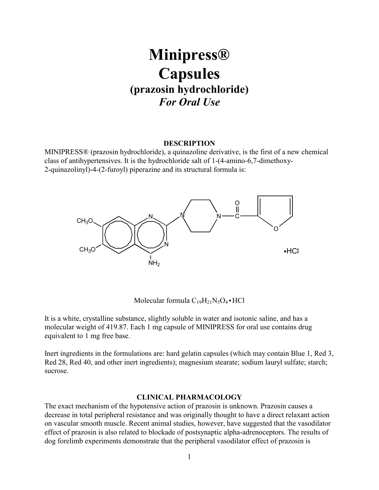# **Minipress® Capsules (prazosin hydrochloride)** *For Oral Use*

## **DESCRIPTION**

MINIPRESS® (prazosin hydrochloride), a quinazoline derivative, is the first of a new chemical class of antihypertensives. It is the hydrochloride salt of 1-(4-amino-6,7-dimethoxy-2-quinazolinyl)-4-(2-furoyl) piperazine and its structural formula is:



Molecular formula  $C_{19}H_{21}N_5O_4 \cdot HCl$ 

It is a white, crystalline substance, slightly soluble in water and isotonic saline, and has a molecular weight of 419.87. Each 1 mg capsule of MINIPRESS for oral use contains drug equivalent to 1 mg free base.

Inert ingredients in the formulations are: hard gelatin capsules (which may contain Blue 1, Red 3, Red 28, Red 40, and other inert ingredients); magnesium stearate; sodium lauryl sulfate; starch; sucrose.

#### **CLINICAL PHARMACOLOGY**

The exact mechanism of the hypotensive action of prazosin is unknown. Prazosin causes a decrease in total peripheral resistance and was originally thought to have a direct relaxant action on vascular smooth muscle. Recent animal studies, however, have suggested that the vasodilator effect of prazosin is also related to blockade of postsynaptic alpha-adrenoceptors. The results of dog forelimb experiments demonstrate that the peripheral vasodilator effect of prazosin is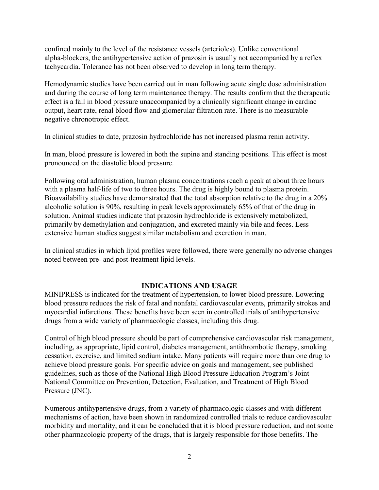confined mainly to the level of the resistance vessels (arterioles). Unlike conventional alpha-blockers, the antihypertensive action of prazosin is usually not accompanied by a reflex tachycardia. Tolerance has not been observed to develop in long term therapy.

Hemodynamic studies have been carried out in man following acute single dose administration and during the course of long term maintenance therapy. The results confirm that the therapeutic effect is a fall in blood pressure unaccompanied by a clinically significant change in cardiac output, heart rate, renal blood flow and glomerular filtration rate. There is no measurable negative chronotropic effect.

In clinical studies to date, prazosin hydrochloride has not increased plasma renin activity.

In man, blood pressure is lowered in both the supine and standing positions. This effect is most pronounced on the diastolic blood pressure.

Following oral administration, human plasma concentrations reach a peak at about three hours with a plasma half-life of two to three hours. The drug is highly bound to plasma protein. Bioavailability studies have demonstrated that the total absorption relative to the drug in a 20% alcoholic solution is 90%, resulting in peak levels approximately 65% of that of the drug in solution. Animal studies indicate that prazosin hydrochloride is extensively metabolized, primarily by demethylation and conjugation, and excreted mainly via bile and feces. Less extensive human studies suggest similar metabolism and excretion in man.

In clinical studies in which lipid profiles were followed, there were generally no adverse changes noted between pre- and post-treatment lipid levels.

# **INDICATIONS AND USAGE**

MINIPRESS is indicated for the treatment of hypertension, to lower blood pressure. Lowering blood pressure reduces the risk of fatal and nonfatal cardiovascular events, primarily strokes and myocardial infarctions. These benefits have been seen in controlled trials of antihypertensive drugs from a wide variety of pharmacologic classes, including this drug.

Control of high blood pressure should be part of comprehensive cardiovascular risk management, including, as appropriate, lipid control, diabetes management, antithrombotic therapy, smoking cessation, exercise, and limited sodium intake. Many patients will require more than one drug to achieve blood pressure goals. For specific advice on goals and management, see published guidelines, such as those of the National High Blood Pressure Education Program's Joint National Committee on Prevention, Detection, Evaluation, and Treatment of High Blood Pressure (JNC).

Numerous antihypertensive drugs, from a variety of pharmacologic classes and with different mechanisms of action, have been shown in randomized controlled trials to reduce cardiovascular morbidity and mortality, and it can be concluded that it is blood pressure reduction, and not some other pharmacologic property of the drugs, that is largely responsible for those benefits. The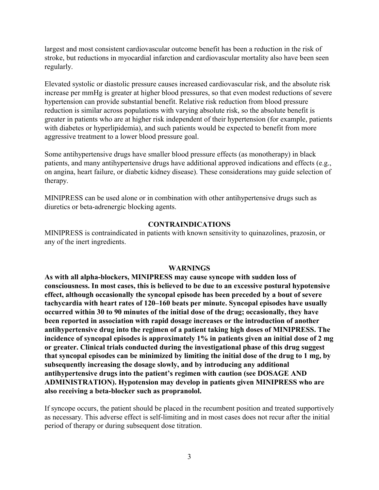largest and most consistent cardiovascular outcome benefit has been a reduction in the risk of stroke, but reductions in myocardial infarction and cardiovascular mortality also have been seen regularly.

Elevated systolic or diastolic pressure causes increased cardiovascular risk, and the absolute risk increase per mmHg is greater at higher blood pressures, so that even modest reductions of severe hypertension can provide substantial benefit. Relative risk reduction from blood pressure reduction is similar across populations with varying absolute risk, so the absolute benefit is greater in patients who are at higher risk independent of their hypertension (for example, patients with diabetes or hyperlipidemia), and such patients would be expected to benefit from more aggressive treatment to a lower blood pressure goal.

Some antihypertensive drugs have smaller blood pressure effects (as monotherapy) in black patients, and many antihypertensive drugs have additional approved indications and effects (e.g., on angina, heart failure, or diabetic kidney disease). These considerations may guide selection of therapy.

MINIPRESS can be used alone or in combination with other antihypertensive drugs such as diuretics or beta-adrenergic blocking agents.

#### **CONTRAINDICATIONS**

MINIPRESS is contraindicated in patients with known sensitivity to quinazolines, prazosin, or any of the inert ingredients.

#### **WARNINGS**

**As with all alpha-blockers, MINIPRESS may cause syncope with sudden loss of consciousness. In most cases, this is believed to be due to an excessive postural hypotensive effect, although occasionally the syncopal episode has been preceded by a bout of severe tachycardia with heart rates of 120–160 beats per minute. Syncopal episodes have usually occurred within 30 to 90 minutes of the initial dose of the drug; occasionally, they have been reported in association with rapid dosage increases or the introduction of another antihypertensive drug into the regimen of a patient taking high doses of MINIPRESS. The incidence of syncopal episodes is approximately 1% in patients given an initial dose of 2 mg or greater. Clinical trials conducted during the investigational phase of this drug suggest that syncopal episodes can be minimized by limiting the initial dose of the drug to 1 mg, by subsequently increasing the dosage slowly, and by introducing any additional antihypertensive drugs into the patient's regimen with caution (see DOSAGE AND ADMINISTRATION). Hypotension may develop in patients given MINIPRESS who are also receiving a beta-blocker such as propranolol.**

If syncope occurs, the patient should be placed in the recumbent position and treated supportively as necessary. This adverse effect is self-limiting and in most cases does not recur after the initial period of therapy or during subsequent dose titration.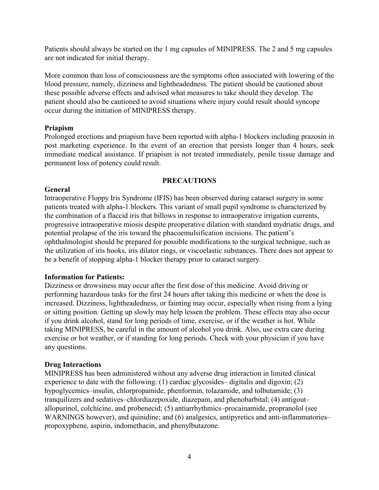Patients should always be started on the 1 mg capsules of MINIPRESS. The 2 and 5 mg capsules are not indicated for initial therapy.

More common than loss of consciousness are the symptoms often associated with lowering of the blood pressure, namely, dizziness and lightheadedness. The patient should be cautioned about these possible adverse effects and advised what measures to take should they develop. The patient should also be cautioned to avoid situations where injury could result should syncope occur during the initiation of MINIPRESS therapy.

# **Priapism**

Prolonged erections and priapism have been reported with alpha-1 blockers including prazosin in post marketing experience. In the event of an erection that persists longer than 4 hours, seek immediate medical assistance. If priapism is not treated immediately, penile tissue damage and permanent loss of potency could result.

# **PRECAUTIONS**

# **General**

Intraoperative Floppy Iris Syndrome (IFIS) has been observed during cataract surgery in some patients treated with alpha-1 blockers. This variant of small pupil syndrome is characterized by the combination of a flaccid iris that billows in response to intraoperative irrigation currents, progressive intraoperative miosis despite preoperative dilation with standard mydriatic drugs, and potential prolapse of the iris toward the phacoemulsification incisions. The patient's ophthalmologist should be prepared for possible modifications to the surgical technique, such as the utilization of iris hooks, iris dilator rings, or viscoelastic substances. There does not appear to be a benefit of stopping alpha-1 blocker therapy prior to cataract surgery.

# **Information for Patients:**

Dizziness or drowsiness may occur after the first dose of this medicine. Avoid driving or performing hazardous tasks for the first 24 hours after taking this medicine or when the dose is increased. Dizziness, lightheadedness, or fainting may occur, especially when rising from a lying or sitting position. Getting up slowly may help lessen the problem. These effects may also occur if you drink alcohol, stand for long periods of time, exercise, or if the weather is hot. While taking MINIPRESS, be careful in the amount of alcohol you drink. Also, use extra care during exercise or hot weather, or if standing for long periods. Check with your physician if you have any questions.

# **Drug Interactions**

MINIPRESS has been administered without any adverse drug interaction in limited clinical experience to date with the following: (1) cardiac glycosides– digitalis and digoxin; (2) hypoglycemics–insulin, chlorpropamide, phenformin, tolazamide, and tolbutamide; (3) tranquilizers and sedatives–chlordiazepoxide, diazepam, and phenobarbital; (4) antigout– allopurinol, colchicine, and probenecid; (5) antiarrhythmics–procainamide, propranolol (see WARNINGS however), and quinidine; and (6) analgesics, antipyretics and anti-inflammatories– propoxyphene, aspirin, indomethacin, and phenylbutazone.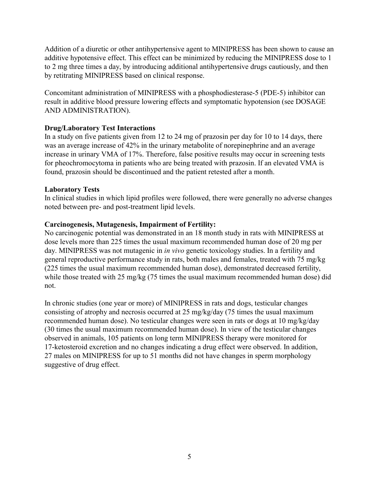Addition of a diuretic or other antihypertensive agent to MINIPRESS has been shown to cause an additive hypotensive effect. This effect can be minimized by reducing the MINIPRESS dose to 1 to 2 mg three times a day, by introducing additional antihypertensive drugs cautiously, and then by retitrating MINIPRESS based on clinical response.

Concomitant administration of MINIPRESS with a phosphodiesterase-5 (PDE-5) inhibitor can result in additive blood pressure lowering effects and symptomatic hypotension (see DOSAGE AND ADMINISTRATION).

# **Drug/Laboratory Test Interactions**

In a study on five patients given from 12 to 24 mg of prazosin per day for 10 to 14 days, there was an average increase of 42% in the urinary metabolite of norepinephrine and an average increase in urinary VMA of 17%. Therefore, false positive results may occur in screening tests for pheochromocytoma in patients who are being treated with prazosin. If an elevated VMA is found, prazosin should be discontinued and the patient retested after a month.

# **Laboratory Tests**

In clinical studies in which lipid profiles were followed, there were generally no adverse changes noted between pre- and post-treatment lipid levels.

# **Carcinogenesis, Mutagenesis, Impairment of Fertility:**

No carcinogenic potential was demonstrated in an 18 month study in rats with MINIPRESS at dose levels more than 225 times the usual maximum recommended human dose of 20 mg per day. MINIPRESS was not mutagenic in *in vivo* genetic toxicology studies. In a fertility and general reproductive performance study in rats, both males and females, treated with 75 mg/kg (225 times the usual maximum recommended human dose), demonstrated decreased fertility, while those treated with 25 mg/kg (75 times the usual maximum recommended human dose) did not.

In chronic studies (one year or more) of MINIPRESS in rats and dogs, testicular changes consisting of atrophy and necrosis occurred at 25 mg/kg/day (75 times the usual maximum recommended human dose). No testicular changes were seen in rats or dogs at 10 mg/kg/day (30 times the usual maximum recommended human dose). In view of the testicular changes observed in animals, 105 patients on long term MINIPRESS therapy were monitored for 17-ketosteroid excretion and no changes indicating a drug effect were observed. In addition, 27 males on MINIPRESS for up to 51 months did not have changes in sperm morphology suggestive of drug effect.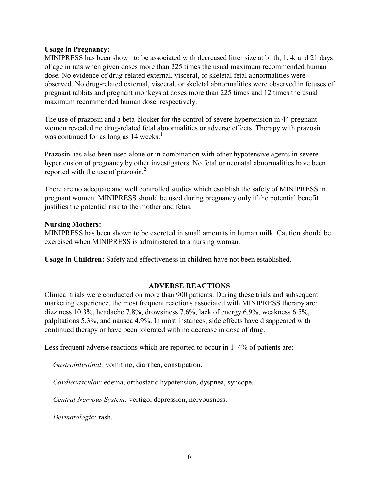## **Usage in Pregnancy:**

MINIPRESS has been shown to be associated with decreased litter size at birth, 1, 4, and 21 days of age in rats when given doses more than 225 times the usual maximum recommended human dose. No evidence of drug-related external, visceral, or skeletal fetal abnormalities were observed. No drug-related external, visceral, or skeletal abnormalities were observed in fetuses of pregnant rabbits and pregnant monkeys at doses more than 225 times and 12 times the usual maximum recommended human dose, respectively.

The use of prazosin and a beta-blocker for the control of severe hypertension in 44 pregnant women revealed no drug-related fetal abnormalities or adverse effects. Therapy with prazosin was continued for as long as 14 weeks.<sup>1</sup>

Prazosin has also been used alone or in combination with other hypotensive agents in severe hypertension of pregnancy by other investigators. No fetal or neonatal abnormalities have been reported with the use of prazosin. $^{2}$ 

There are no adequate and well controlled studies which establish the safety of MINIPRESS in pregnant women. MINIPRESS should be used during pregnancy only if the potential benefit justifies the potential risk to the mother and fetus.

#### **Nursing Mothers:**

MINIPRESS has been shown to be excreted in small amounts in human milk. Caution should be exercised when MINIPRESS is administered to a nursing woman.

**Usage in Children:** Safety and effectiveness in children have not been established.

# **ADVERSE REACTIONS**

Clinical trials were conducted on more than 900 patients. During these trials and subsequent marketing experience, the most frequent reactions associated with MINIPRESS therapy are: dizziness 10.3%, headache 7.8%, drowsiness 7.6%, lack of energy 6.9%, weakness 6.5%, palpitations 5.3%, and nausea 4.9%. In most instances, side effects have disappeared with continued therapy or have been tolerated with no decrease in dose of drug.

Less frequent adverse reactions which are reported to occur in  $1-4\%$  of patients are:

*Gastrointestinal:* vomiting, diarrhea, constipation.

*Cardiovascular:* edema, orthostatic hypotension, dyspnea, syncope.

*Central Nervous System:* vertigo, depression, nervousness.

*Dermatologic:* rash.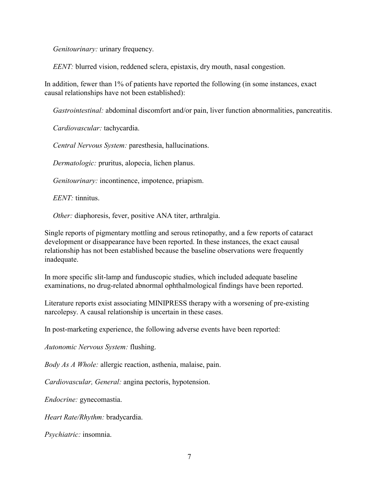*Genitourinary:* urinary frequency.

*EENT*: blurred vision, reddened sclera, epistaxis, dry mouth, nasal congestion.

In addition, fewer than 1% of patients have reported the following (in some instances, exact causal relationships have not been established):

*Gastrointestinal:* abdominal discomfort and/or pain, liver function abnormalities, pancreatitis.

*Cardiovascular:* tachycardia.

*Central Nervous System:* paresthesia, hallucinations.

*Dermatologic:* pruritus, alopecia, lichen planus.

*Genitourinary:* incontinence, impotence, priapism.

*EENT:* tinnitus.

*Other:* diaphoresis, fever, positive ANA titer, arthralgia.

Single reports of pigmentary mottling and serous retinopathy, and a few reports of cataract development or disappearance have been reported. In these instances, the exact causal relationship has not been established because the baseline observations were frequently inadequate.

In more specific slit-lamp and funduscopic studies, which included adequate baseline examinations, no drug-related abnormal ophthalmological findings have been reported.

Literature reports exist associating MINIPRESS therapy with a worsening of pre-existing narcolepsy. A causal relationship is uncertain in these cases.

In post-marketing experience, the following adverse events have been reported:

*Autonomic Nervous System:* flushing.

*Body As A Whole:* allergic reaction, asthenia, malaise, pain.

*Cardiovascular, General:* angina pectoris, hypotension.

*Endocrine:* gynecomastia.

*Heart Rate/Rhythm:* bradycardia.

*Psychiatric:* insomnia.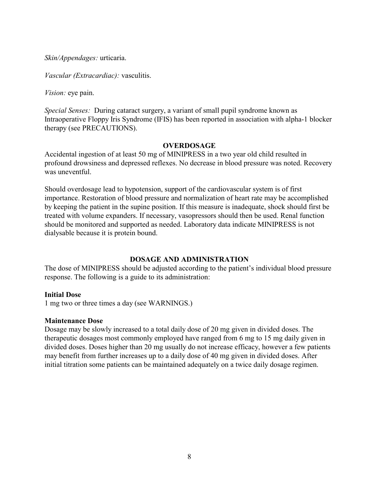*Skin/Appendages:* urticaria.

*Vascular (Extracardiac):* vasculitis.

*Vision:* eye pain.

*Special Senses:* During cataract surgery, a variant of small pupil syndrome known as Intraoperative Floppy Iris Syndrome (IFIS) has been reported in association with alpha-1 blocker therapy (see PRECAUTIONS).

## **OVERDOSAGE**

Accidental ingestion of at least 50 mg of MINIPRESS in a two year old child resulted in profound drowsiness and depressed reflexes. No decrease in blood pressure was noted. Recovery was uneventful.

Should overdosage lead to hypotension, support of the cardiovascular system is of first importance. Restoration of blood pressure and normalization of heart rate may be accomplished by keeping the patient in the supine position. If this measure is inadequate, shock should first be treated with volume expanders. If necessary, vasopressors should then be used. Renal function should be monitored and supported as needed. Laboratory data indicate MINIPRESS is not dialysable because it is protein bound.

## **DOSAGE AND ADMINISTRATION**

The dose of MINIPRESS should be adjusted according to the patient's individual blood pressure response. The following is a guide to its administration:

## **Initial Dose**

1 mg two or three times a day (see WARNINGS.)

## **Maintenance Dose**

Dosage may be slowly increased to a total daily dose of 20 mg given in divided doses. The therapeutic dosages most commonly employed have ranged from 6 mg to 15 mg daily given in divided doses. Doses higher than 20 mg usually do not increase efficacy, however a few patients may benefit from further increases up to a daily dose of 40 mg given in divided doses. After initial titration some patients can be maintained adequately on a twice daily dosage regimen.